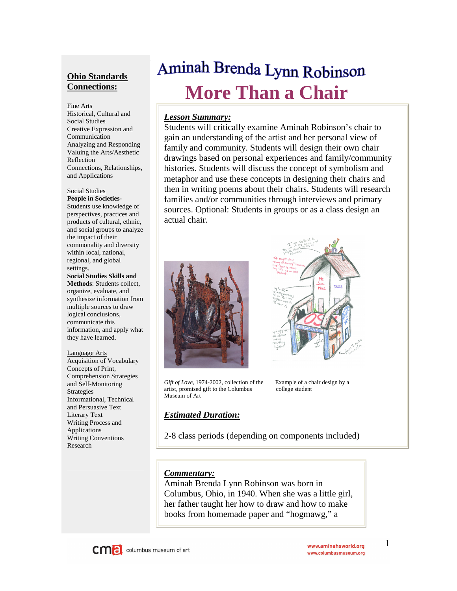# **Ohio Standards Connections:**

#### Fine Arts

Historical, Cultural and Social Studies Creative Expression and Communication Analyzing and Responding Valuing the Arts/Aesthetic Reflection Connections, Relationships, and Applications

#### Social Studies **People in Societies**-

Students use knowledge of perspectives, practices and products of cultural, ethnic, and social groups to analyze the impact of their commonality and diversity within local, national, regional, and global settings.

**Social Studies Skills and Methods**: Students collect, organize, evaluate, and synthesize information from multiple sources to draw logical conclusions, communicate this information, and apply what they have learned.

Language Arts Acquisition of Vocabulary Concepts of Print, Comprehension Strategies and Self-Monitoring Strategies Informational, Technical and Persuasive Text Literary Text Writing Process and Applications Writing Conventions Research

# Aminah Brenda Lynn Robinson **More Than a Chair**

## *Lesson Summary:*

Students will critically examine Aminah Robinson's chair to gain an understanding of the artist and her personal view of family and community. Students will design their own chair drawings based on personal experiences and family/community histories. Students will discuss the concept of symbolism and metaphor and use these concepts in designing their chairs and then in writing poems about their chairs. Students will research families and/or communities through interviews and primary sources. Optional: Students in groups or as a class design an actual chair.





*Gift of Love*, 1974-2002, collection of the Example of a chair design by a artist, promised gift to the Columbus college student Museum of Art

## *Estimated Duration:*

2-8 class periods (depending on components included)

### *Commentary:*

Aminah Brenda Lynn Robinson was born in Columbus, Ohio, in 1940. When she was a little girl, her father taught her how to draw and how to make books from homemade paper and "hogmawg," a



1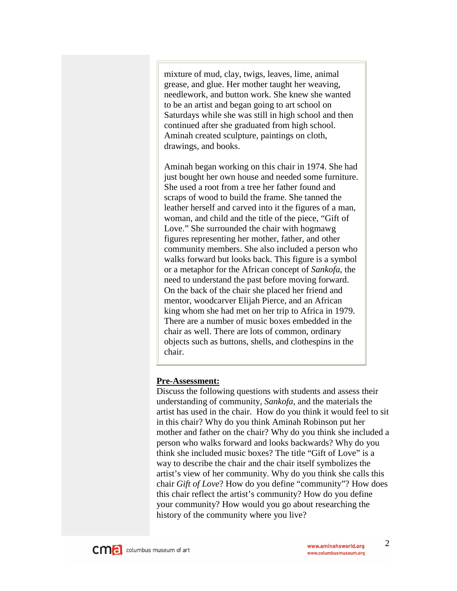mixture of mud, clay, twigs, leaves, lime, animal grease, and glue. Her mother taught her weaving, needlework, and button work. She knew she wanted to be an artist and began going to art school on Saturdays while she was still in high school and then continued after she graduated from high school. Aminah created sculpture, paintings on cloth, drawings, and books.

Aminah began working on this chair in 1974. She had just bought her own house and needed some furniture. She used a root from a tree her father found and scraps of wood to build the frame. She tanned the leather herself and carved into it the figures of a man, woman, and child and the title of the piece, "Gift of Love." She surrounded the chair with hogmawg figures representing her mother, father, and other community members. She also included a person who walks forward but looks back. This figure is a symbol or a metaphor for the African concept of *Sankofa*, the need to understand the past before moving forward. On the back of the chair she placed her friend and mentor, woodcarver Elijah Pierce, and an African king whom she had met on her trip to Africa in 1979. There are a number of music boxes embedded in the chair as well. There are lots of common, ordinary objects such as buttons, shells, and clothespins in the chair.

## **Pre-Assessment:**

Discuss the following questions with students and assess their understanding of community, *Sankofa*, and the materials the artist has used in the chair. How do you think it would feel to sit in this chair? Why do you think Aminah Robinson put her mother and father on the chair? Why do you think she included a person who walks forward and looks backwards? Why do you think she included music boxes? The title "Gift of Love" is a way to describe the chair and the chair itself symbolizes the artist's view of her community. Why do you think she calls this chair *Gift of Love*? How do you define "community"? How does this chair reflect the artist's community? How do you define your community? How would you go about researching the history of the community where you live?

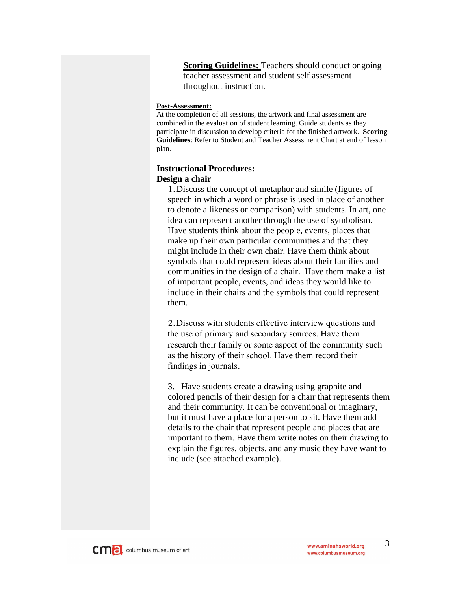**Scoring Guidelines:** Teachers should conduct ongoing teacher assessment and student self assessment throughout instruction.

#### **Post-Assessment:**

At the completion of all sessions, the artwork and final assessment are combined in the evaluation of student learning. Guide students as they participate in discussion to develop criteria for the finished artwork. **Scoring Guidelines**: Refer to Student and Teacher Assessment Chart at end of lesson plan.

#### **Instructional Procedures:**

### **Design a chair**

1. Discuss the concept of metaphor and simile (figures of speech in which a word or phrase is used in place of another to denote a likeness or comparison) with students. In art, one idea can represent another through the use of symbolism. Have students think about the people, events, places that make up their own particular communities and that they might include in their own chair. Have them think about symbols that could represent ideas about their families and communities in the design of a chair. Have them make a list of important people, events, and ideas they would like to include in their chairs and the symbols that could represent them.

2. Discuss with students effective interview questions and the use of primary and secondary sources. Have them research their family or some aspect of the community such as the history of their school. Have them record their findings in journals.

3. Have students create a drawing using graphite and colored pencils of their design for a chair that represents them and their community. It can be conventional or imaginary, but it must have a place for a person to sit. Have them add details to the chair that represent people and places that are important to them. Have them write notes on their drawing to explain the figures, objects, and any music they have want to include (see attached example).



3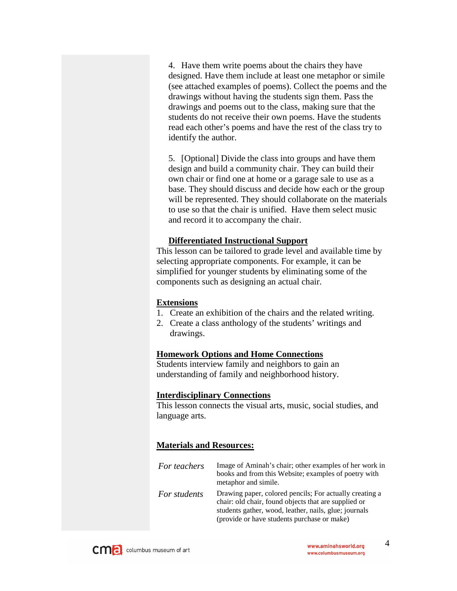4. Have them write poems about the chairs they have designed. Have them include at least one metaphor or simile (see attached examples of poems). Collect the poems and the drawings without having the students sign them. Pass the drawings and poems out to the class, making sure that the students do not receive their own poems. Have the students read each other's poems and have the rest of the class try to identify the author.

5. [Optional] Divide the class into groups and have them design and build a community chair. They can build their own chair or find one at home or a garage sale to use as a base. They should discuss and decide how each or the group will be represented. They should collaborate on the materials to use so that the chair is unified. Have them select music and record it to accompany the chair.

## **Differentiated Instructional Support**

This lesson can be tailored to grade level and available time by selecting appropriate components. For example, it can be simplified for younger students by eliminating some of the components such as designing an actual chair.

### **Extensions**

- 1. Create an exhibition of the chairs and the related writing.
- 2. Create a class anthology of the students' writings and drawings.

## **Homework Options and Home Connections**

Students interview family and neighbors to gain an understanding of family and neighborhood history.

### **Interdisciplinary Connections**

This lesson connects the visual arts, music, social studies, and language arts.

## **Materials and Resources:**

| For teachers | Image of Aminah's chair; other examples of her work in<br>books and from this Website; examples of poetry with<br>metaphor and simile.                                                                                  |
|--------------|-------------------------------------------------------------------------------------------------------------------------------------------------------------------------------------------------------------------------|
| For students | Drawing paper, colored pencils; For actually creating a<br>chair: old chair, found objects that are supplied or<br>students gather, wood, leather, nails, glue; journals<br>(provide or have students purchase or make) |

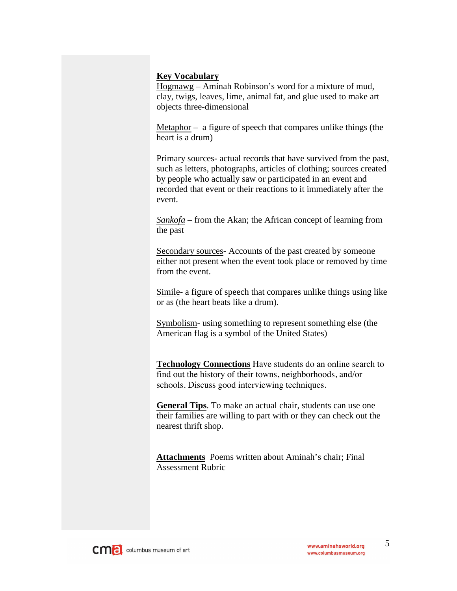## **Key Vocabulary**

Hogmawg – Aminah Robinson's word for a mixture of mud, clay, twigs, leaves, lime, animal fat, and glue used to make art objects three-dimensional

Metaphor – a figure of speech that compares unlike things (the heart is a drum)

Primary sources- actual records that have survived from the past, such as letters, photographs, articles of clothing; sources created by people who actually saw or participated in an event and recorded that event or their reactions to it immediately after the event.

*Sankofa* – from the Akan; the African concept of learning from the past

Secondary sources- Accounts of the past created by someone either not present when the event took place or removed by time from the event.

Simile- a figure of speech that compares unlike things using like or as (the heart beats like a drum).

Symbolism- using something to represent something else (the American flag is a symbol of the United States)

**Technology Connections** Have students do an online search to find out the history of their towns, neighborhoods, and/or schools. Discuss good interviewing techniques.

**General Tips**. To make an actual chair, students can use one their families are willing to part with or they can check out the nearest thrift shop.

**Attachments** Poems written about Aminah's chair; Final Assessment Rubric

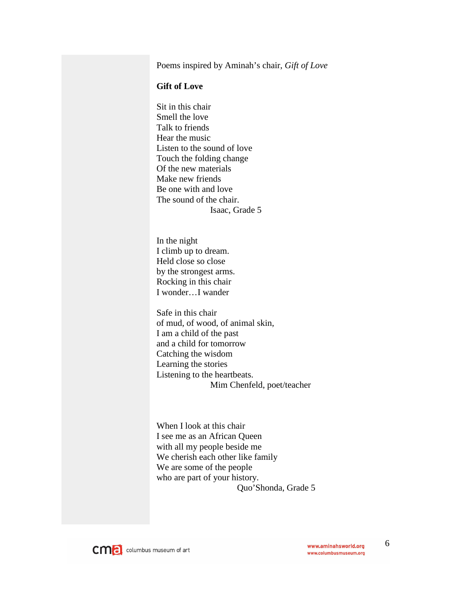Poems inspired by Aminah's chair, *Gift of Love*

## **Gift of Love**

Sit in this chair Smell the love Talk to friends Hear the music Listen to the sound of love Touch the folding change Of the new materials Make new friends Be one with and love The sound of the chair. Isaac, Grade 5

In the night I climb up to dream. Held close so close by the strongest arms. Rocking in this chair I wonder…I wander

Safe in this chair of mud, of wood, of animal skin, I am a child of the past and a child for tomorrow Catching the wisdom Learning the stories Listening to the heartbeats. Mim Chenfeld, poet/teacher

When I look at this chair I see me as an African Queen with all my people beside me We cherish each other like family We are some of the people who are part of your history. Quo'Shonda, Grade 5



6